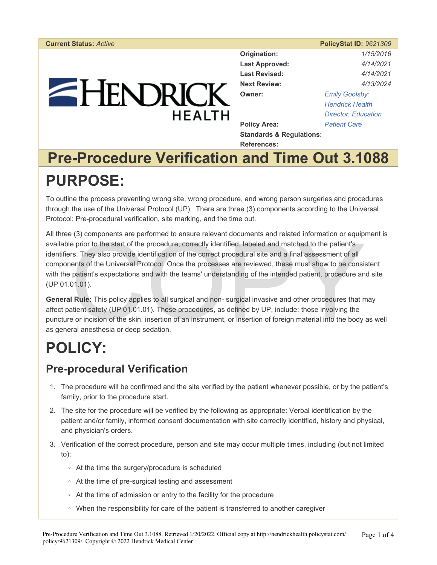# EHENDRICK **HFAITH**

|                                     | <b>PolicyStat ID: 9621309</b> |
|-------------------------------------|-------------------------------|
| Origination:                        | 1/15/2016                     |
| <b>Last Approved:</b>               | 4/14/2021                     |
| <b>Last Revised:</b>                | 4/14/2021                     |
| <b>Next Review:</b>                 | 4/13/2024                     |
| Owner:                              | <b>Emily Goolsby:</b>         |
|                                     | <b>Hendrick Health</b>        |
|                                     | <b>Director, Education</b>    |
| <b>Policy Area:</b>                 | <b>Patient Care</b>           |
| <b>Standards &amp; Requlations:</b> |                               |

**Standards & Regulations: References:** 

## **Pre-Procedure Verification and Time Out 3.1088 PURPOSE:**

To outline the process preventing wrong site, wrong procedure, and wrong person surgeries and procedures through the use of the Universal Protocol (UP). There are three (3) components according to the Universal Protocol: Pre-procedural verification, site marking, and the time out.

(3) components are periorined to ensure relevant documents and related information or equiple<br>prior to the start of the procedure, correctly identified, labeled and matched to the patient's<br>rs. They also provide identifica All three (3) components are performed to ensure relevant documents and related information or equipment is available prior to the start of the procedure, correctly identified, labeled and matched to the patient's identifiers. They also provide identification of the correct procedural site and a final assessment of all components of the Universal Protocol. Once the processes are reviewed, these must show to be consistent with the patient's expectations and with the teams' understanding of the intended patient, procedure and site (UP 01.01.01).

**General Rule:** This policy applies to all surgical and non- surgical invasive and other procedures that may affect patient safety (UP 01.01.01). These procedures, as defined by UP, include: those involving the puncture or incision of the skin, insertion of an instrument, or insertion of foreign material into the body as well as general anesthesia or deep sedation.

## **POLICY:**

### **Pre-procedural Verification**

- 1. The procedure will be confirmed and the site verified by the patient whenever possible, or by the patient's family, prior to the procedure start.
- 2. The site for the procedure will be verified by the following as appropriate: Verbal identification by the patient and/or family, informed consent documentation with site correctly identified, history and physical, and physician's orders.
- 3. Verification of the correct procedure, person and site may occur multiple times, including (but not limited to):
	- At the time the surgery/procedure is scheduled
	- At the time of pre-surgical testing and assessment
	- At the time of admission or entry to the facility for the procedure
	- When the responsibility for care of the patient is transferred to another caregiver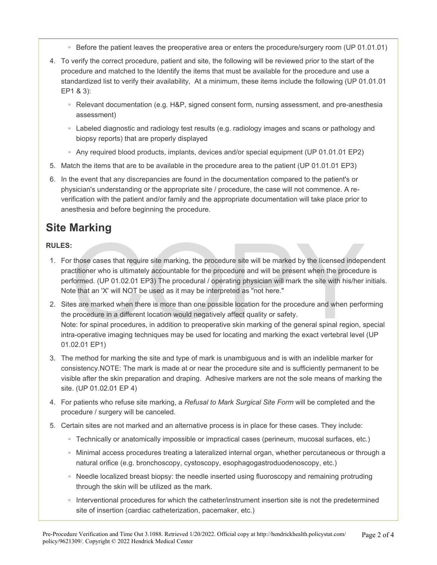- Before the patient leaves the preoperative area or enters the procedure/surgery room (UP 01.01.01)
- 4. To verify the correct procedure, patient and site, the following will be reviewed prior to the start of the procedure and matched to the Identify the items that must be available for the procedure and use a standardized list to verify their availability, At a minimum, these items include the following (UP 01.01.01 EP1 & 3):
	- Relevant documentation (e.g. H&P, signed consent form, nursing assessment, and pre-anesthesia assessment)
	- Labeled diagnostic and radiology test results (e.g. radiology images and scans or pathology and biopsy reports) that are properly displayed
	- Any required blood products, implants, devices and/or special equipment (UP 01.01.01 EP2)
- 5. Match the items that are to be available in the procedure area to the patient (UP 01.01.01 EP3)
- 6. In the event that any discrepancies are found in the documentation compared to the patient's or physician's understanding or the appropriate site / procedure, the case will not commence. A reverification with the patient and/or family and the appropriate documentation will take place prior to anesthesia and before beginning the procedure.

## **Site Marking**

#### **RULES:**

- :<br>those cases that require site marking, the procedure site will be marked by the licensed indepectitioner who is ultimately accountable for the procedure and will be present when the procedur<br>formed. (UP 01.02.01 EP3) The 1. For those cases that require site marking, the procedure site will be marked by the licensed independent practitioner who is ultimately accountable for the procedure and will be present when the procedure is performed. (UP 01.02.01 EP3) The procedural / operating physician will mark the site with his/her initials. Note that an 'X' will NOT be used as it may be interpreted as "not here."
- 2. Sites are marked when there is more than one possible location for the procedure and when performing the procedure in a different location would negatively affect quality or safety. Note: for spinal procedures, in addition to preoperative skin marking of the general spinal region, special intra-operative imaging techniques may be used for locating and marking the exact vertebral level (UP 01.02.01 EP1)
- 3. The method for marking the site and type of mark is unambiguous and is with an indelible marker for consistency.NOTE: The mark is made at or near the procedure site and is sufficiently permanent to be visible after the skin preparation and draping. Adhesive markers are not the sole means of marking the site. (UP 01.02.01 EP 4)
- 4. For patients who refuse site marking, a *Refusal to Mark Surgical Site Form* will be completed and the procedure / surgery will be canceled.
- 5. Certain sites are not marked and an alternative process is in place for these cases. They include:
	- Technically or anatomically impossible or impractical cases (perineum, mucosal surfaces, etc.)
	- Minimal access procedures treating a lateralized internal organ, whether percutaneous or through a natural orifice (e.g. bronchoscopy, cystoscopy, esophagogastroduodenoscopy, etc.)
	- Needle localized breast biopsy: the needle inserted using fluoroscopy and remaining protruding through the skin will be utilized as the mark.
	- Interventional procedures for which the catheter/instrument insertion site is not the predetermined site of insertion (cardiac catheterization, pacemaker, etc.)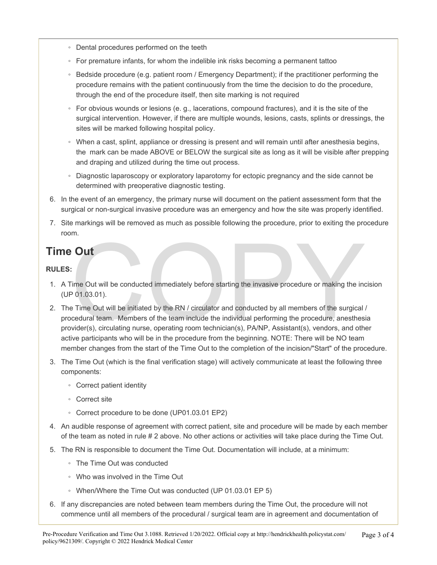- Dental procedures performed on the teeth
- For premature infants, for whom the indelible ink risks becoming a permanent tattoo
- Bedside procedure (e.g. patient room / Emergency Department); if the practitioner performing the procedure remains with the patient continuously from the time the decision to do the procedure, through the end of the procedure itself, then site marking is not required
- For obvious wounds or lesions (e. g., lacerations, compound fractures), and it is the site of the surgical intervention. However, if there are multiple wounds, lesions, casts, splints or dressings, the sites will be marked following hospital policy.
- When a cast, splint, appliance or dressing is present and will remain until after anesthesia begins, the mark can be made ABOVE or BELOW the surgical site as long as it will be visible after prepping and draping and utilized during the time out process.
- Diagnostic laparoscopy or exploratory laparotomy for ectopic pregnancy and the side cannot be determined with preoperative diagnostic testing.
- 6. In the event of an emergency, the primary nurse will document on the patient assessment form that the surgical or non-surgical invasive procedure was an emergency and how the site was properly identified.
- 7. Site markings will be removed as much as possible following the procedure, prior to exiting the procedure room.

## **Time Out**

#### **RULES:**

- 1. A Time Out will be conducted immediately before starting the invasive procedure or making the incision (UP 01.03.01).
- The Cut will be conducted immediately before starting the invasive procedure or making the incore of 1.03.01).<br>
The Cut will be initiated by the RN / circulator and conducted by all members of the surgical is a conducted b 2. The Time Out will be initiated by the RN / circulator and conducted by all members of the surgical / procedural team. Members of the team include the individual performing the procedure, anesthesia provider(s), circulating nurse, operating room technician(s), PA/NP, Assistant(s), vendors, and other active participants who will be in the procedure from the beginning. NOTE: There will be NO team member changes from the start of the Time Out to the completion of the incision/"Start" of the procedure.
- 3. The Time Out (which is the final verification stage) will actively communicate at least the following three components:
	- Correct patient identity
	- Correct site
	- Correct procedure to be done (UP01.03.01 EP2)
- 4. An audible response of agreement with correct patient, site and procedure will be made by each member of the team as noted in rule # 2 above. No other actions or activities will take place during the Time Out.
- 5. The RN is responsible to document the Time Out. Documentation will include, at a minimum:
	- The Time Out was conducted
	- Who was involved in the Time Out
	- When/Where the Time Out was conducted (UP 01.03.01 EP 5)
- 6. If any discrepancies are noted between team members during the Time Out, the procedure will not commence until all members of the procedural / surgical team are in agreement and documentation of